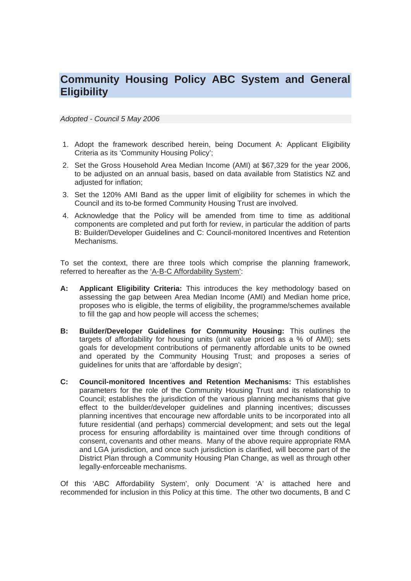## **Community Housing Policy ABC System and General Eligibility**

#### *Adopted - Council 5 May 2006*

- 1. Adopt the framework described herein, being Document A: Applicant Eligibility Criteria as its 'Community Housing Policy';
- 2. Set the Gross Household Area Median Income (AMI) at \$67,329 for the year 2006, to be adjusted on an annual basis, based on data available from Statistics NZ and adiusted for inflation:
- 3. Set the 120% AMI Band as the upper limit of eligibility for schemes in which the Council and its to-be formed Community Housing Trust are involved.
- 4. Acknowledge that the Policy will be amended from time to time as additional components are completed and put forth for review, in particular the addition of parts B: Builder/Developer Guidelines and C: Council-monitored Incentives and Retention Mechanisms.

To set the context, there are three tools which comprise the planning framework, referred to hereafter as the 'A-B-C Affordability System':

- **A: Applicant Eligibility Criteria:** This introduces the key methodology based on assessing the gap between Area Median Income (AMI) and Median home price, proposes who is eligible, the terms of eligibility, the programme/schemes available to fill the gap and how people will access the schemes;
- **B: Builder/Developer Guidelines for Community Housing:** This outlines the targets of affordability for housing units (unit value priced as a % of AMI); sets goals for development contributions of permanently affordable units to be owned and operated by the Community Housing Trust; and proposes a series of guidelines for units that are 'affordable by design';
- **C: Council-monitored Incentives and Retention Mechanisms:** This establishes parameters for the role of the Community Housing Trust and its relationship to Council; establishes the jurisdiction of the various planning mechanisms that give effect to the builder/developer guidelines and planning incentives; discusses planning incentives that encourage new affordable units to be incorporated into all future residential (and perhaps) commercial development; and sets out the legal process for ensuring affordability is maintained over time through conditions of consent, covenants and other means. Many of the above require appropriate RMA and LGA jurisdiction, and once such jurisdiction is clarified, will become part of the District Plan through a Community Housing Plan Change, as well as through other legally-enforceable mechanisms.

Of this 'ABC Affordability System', only Document 'A' is attached here and recommended for inclusion in this Policy at this time. The other two documents, B and C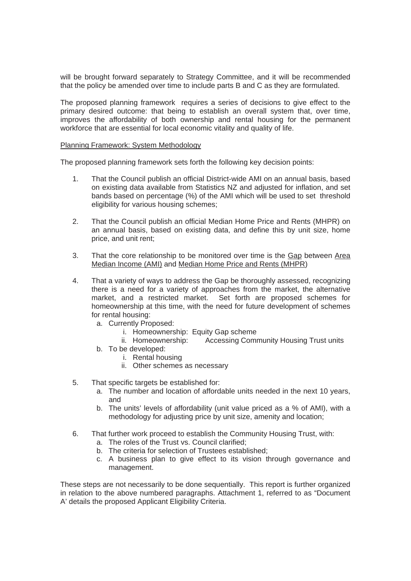will be brought forward separately to Strategy Committee, and it will be recommended that the policy be amended over time to include parts B and C as they are formulated.

The proposed planning framework requires a series of decisions to give effect to the primary desired outcome: that being to establish an overall system that, over time, improves the affordability of both ownership and rental housing for the permanent workforce that are essential for local economic vitality and quality of life.

#### Planning Framework: System Methodology

The proposed planning framework sets forth the following key decision points:

- 1. That the Council publish an official District-wide AMI on an annual basis, based on existing data available from Statistics NZ and adjusted for inflation, and set bands based on percentage (%) of the AMI which will be used to set threshold eligibility for various housing schemes;
- 2. That the Council publish an official Median Home Price and Rents (MHPR) on an annual basis, based on existing data, and define this by unit size, home price, and unit rent;
- 3. That the core relationship to be monitored over time is the Gap between Area Median Income (AMI) and Median Home Price and Rents (MHPR)
- 4. That a variety of ways to address the Gap be thoroughly assessed, recognizing there is a need for a variety of approaches from the market, the alternative market, and a restricted market. Set forth are proposed schemes for homeownership at this time, with the need for future development of schemes for rental housing:
	- a. Currently Proposed:
		- i. Homeownership: Equity Gap scheme
		- ii. Homeownership: Accessing Community Housing Trust units
	- b. To be developed:
		- i. Rental housing
		- ii. Other schemes as necessary
- 5. That specific targets be established for:
	- a. The number and location of affordable units needed in the next 10 years, and
	- b. The units' levels of affordability (unit value priced as a % of AMI), with a methodology for adjusting price by unit size, amenity and location;
- 6. That further work proceed to establish the Community Housing Trust, with:
	- a. The roles of the Trust vs. Council clarified;
	- b. The criteria for selection of Trustees established;
	- c. A business plan to give effect to its vision through governance and management.

These steps are not necessarily to be done sequentially. This report is further organized in relation to the above numbered paragraphs. Attachment 1, referred to as "Document A' details the proposed Applicant Eligibility Criteria.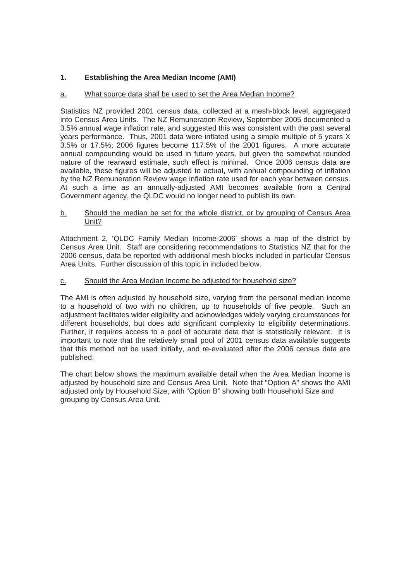## **1. Establishing the Area Median Income (AMI)**

## a. What source data shall be used to set the Area Median Income?

Statistics NZ provided 2001 census data, collected at a mesh-block level, aggregated into Census Area Units. The NZ Remuneration Review, September 2005 documented a 3.5% annual wage inflation rate, and suggested this was consistent with the past several years performance. Thus, 2001 data were inflated using a simple multiple of 5 years X 3.5% or 17.5%; 2006 figures become 117.5% of the 2001 figures. A more accurate annual compounding would be used in future years, but given the somewhat rounded nature of the rearward estimate, such effect is minimal. Once 2006 census data are available, these figures will be adjusted to actual, with annual compounding of inflation by the NZ Remuneration Review wage inflation rate used for each year between census. At such a time as an annually-adjusted AMI becomes available from a Central Government agency, the QLDC would no longer need to publish its own.

#### b. Should the median be set for the whole district, or by grouping of Census Area Unit?

Attachment 2, 'QLDC Family Median Income-2006' shows a map of the district by Census Area Unit. Staff are considering recommendations to Statistics NZ that for the 2006 census, data be reported with additional mesh blocks included in particular Census Area Units. Further discussion of this topic in included below.

### c. Should the Area Median Income be adjusted for household size?

The AMI is often adjusted by household size, varying from the personal median income to a household of two with no children, up to households of five people. Such an adjustment facilitates wider eligibility and acknowledges widely varying circumstances for different households, but does add significant complexity to eligibility determinations. Further, it requires access to a pool of accurate data that is statistically relevant. It is important to note that the relatively small pool of 2001 census data available suggests that this method not be used initially, and re-evaluated after the 2006 census data are published.

The chart below shows the maximum available detail when the Area Median Income is adjusted by household size and Census Area Unit. Note that "Option A" shows the AMI adjusted only by Household Size, with "Option B" showing both Household Size and grouping by Census Area Unit.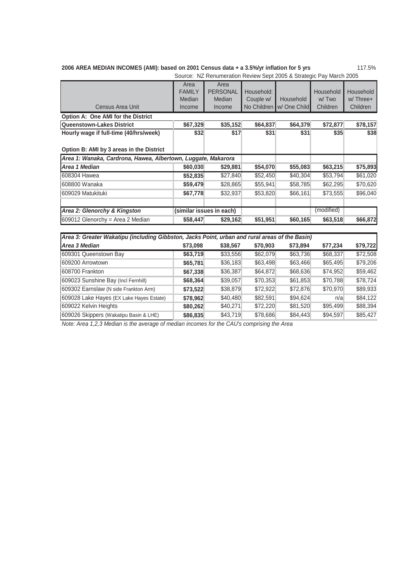| 2006 AREA MEDIAN INCOMES (AMI): based on 2001 Census data + a 3.5%/yr inflation for 5 yrs | 117.5% |
|-------------------------------------------------------------------------------------------|--------|
|-------------------------------------------------------------------------------------------|--------|

Source: NZ Renumeration Review Sept 2005 & Strategic Pay March 2005 Census Area Unit Area FAMILY Median Income Area PERSONAL Median Income Household: Couple w/ No Children Household w/ One Child Household w/ Two Children Household w/ Three+ Children **Option A: One AMI for the District Queenstown-Lakes District \$67,329 \$35,152 \$64,837 \$64,379 \$72,877 \$78,157 Hourly wage if full-time (40/hrs/week)** \$32 \$17 \$31 \$31 \$35 \$38 **Option B: AMI by 3 areas in the District** *Area 1: Wanaka, Cardrona, Hawea, Albertown, Luggate, Makarora Area 1 Median* **\$60,030 \$29,881 \$54,070 \$55,083 \$63,215 \$75,893** 608304 Hawea **\$52,835** \$27,840 \$52,450 \$40,304 \$53,794 \$61,020 608800 Wanaka **\$59,479** \$28,865 \$55,941 \$58,785 \$62,295 \$70,620 609029 Matukituki **\$67,778** \$32,937 \$53,820 \$66,161 \$73,555 \$96,040 **Area 2: Glenorchy & Kingston (similar issues in each) (modified)** (modified) 609012 Glenorchy = Area 2 Median **\$58,447 \$29,162 \$51,951 \$60,165 \$63,518 \$66,872**

| Area 3: Greater Wakatipu (including Gibbston, Jacks Point, urban and rural areas of the Basin) |          |          |          |          |          |          |  |  |  |
|------------------------------------------------------------------------------------------------|----------|----------|----------|----------|----------|----------|--|--|--|
| Area 3 Median                                                                                  | \$73,098 | \$38,567 | \$70,903 | \$73,894 | \$77,234 | \$79,722 |  |  |  |
| 609301 Queenstown Bay                                                                          | \$63,719 | \$33,556 | \$62,079 | \$63,736 | \$68,337 | \$72,508 |  |  |  |
| 609200 Arrowtown                                                                               | \$65,781 | \$36,183 | \$63,498 | \$63,466 | \$65,495 | \$79,206 |  |  |  |
| 608700 Frankton                                                                                | \$67,338 | \$36,387 | \$64,872 | \$68,636 | \$74,952 | \$59,462 |  |  |  |
| 609023 Sunshine Bay (Incl Fernhill)                                                            | \$68,364 | \$39,057 | \$70,353 | \$61,853 | \$70,788 | \$78,724 |  |  |  |
| 609302 Earnslaw (N side Frankton Arm)                                                          | \$73,522 | \$38,879 | \$72,922 | \$72,876 | \$70,970 | \$89,933 |  |  |  |
| 609028 Lake Hayes (EX Lake Hayes Estate)                                                       | \$78,962 | \$40,480 | \$82,591 | \$94,624 | n/a      | \$84,122 |  |  |  |
| 609022 Kelvin Heights                                                                          | \$80,262 | \$40,271 | \$72,220 | \$81,520 | \$95,499 | \$88,394 |  |  |  |
| 609026 Skippers (Wakatipu Basin & LHE)                                                         | \$86,835 | \$43,719 | \$78,686 | \$84,443 | \$94,597 | \$85,427 |  |  |  |

*Note: Area 1,2,3 Median is the average of median incomes for the CAU's comprising the Area*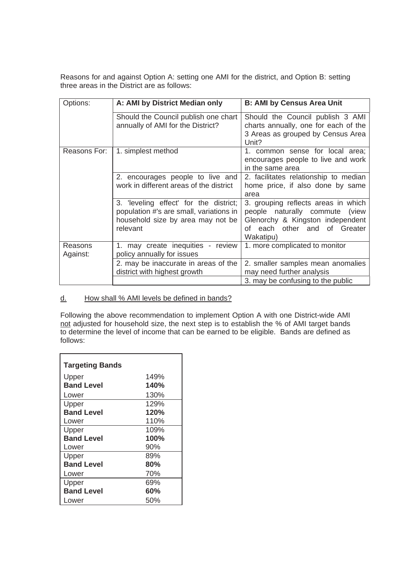Reasons for and against Option A: setting one AMI for the district, and Option B: setting three areas in the District are as follows:

| Options:            | A: AMI by District Median only                                                                                                     | <b>B: AMI by Census Area Unit</b>                                                                                                                         |
|---------------------|------------------------------------------------------------------------------------------------------------------------------------|-----------------------------------------------------------------------------------------------------------------------------------------------------------|
|                     | Should the Council publish one chart<br>annually of AMI for the District?                                                          | Should the Council publish 3 AMI<br>charts annually, one for each of the<br>3 Areas as grouped by Census Area<br>Unit?                                    |
| Reasons For:        | 1. simplest method                                                                                                                 | 1. common sense for local area;<br>encourages people to live and work<br>in the same area                                                                 |
|                     | 2. encourages people to live and<br>work in different areas of the district                                                        | 2. facilitates relationship to median<br>home price, if also done by same<br>area                                                                         |
|                     | 3. 'leveling effect' for the district;<br>population #'s are small, variations in<br>household size by area may not be<br>relevant | 3. grouping reflects areas in which<br>people naturally commute<br>(view<br>Glenorchy & Kingston independent<br>of each other and of Greater<br>Wakatipu) |
| Reasons<br>Against: | 1. may create inequities - review<br>policy annually for issues                                                                    | 1. more complicated to monitor                                                                                                                            |
|                     | 2. may be inaccurate in areas of the<br>district with highest growth                                                               | 2. smaller samples mean anomalies<br>may need further analysis                                                                                            |
|                     |                                                                                                                                    | 3. may be confusing to the public                                                                                                                         |

d. How shall % AMI levels be defined in bands?

Following the above recommendation to implement Option A with one District-wide AMI not adjusted for household size, the next step is to establish the % of AMI target bands to determine the level of income that can be earned to be eligible. Bands are defined as follows:

| <b>Targeting Bands</b> |      |  |  |  |  |
|------------------------|------|--|--|--|--|
| Upper                  | 149% |  |  |  |  |
| <b>Band Level</b>      | 140% |  |  |  |  |
| Lower                  | 130% |  |  |  |  |
| Upper                  | 129% |  |  |  |  |
| <b>Band Level</b>      | 120% |  |  |  |  |
| Lower                  | 110% |  |  |  |  |
| Upper                  | 109% |  |  |  |  |
| <b>Band Level</b>      | 100% |  |  |  |  |
| Lower                  | 90%  |  |  |  |  |
| Upper                  | 89%  |  |  |  |  |
| <b>Band Level</b>      | 80%  |  |  |  |  |
| Lower                  | 70%  |  |  |  |  |
| Upper                  | 69%  |  |  |  |  |
| <b>Band Level</b>      | 60%  |  |  |  |  |
| Lower                  | 50%  |  |  |  |  |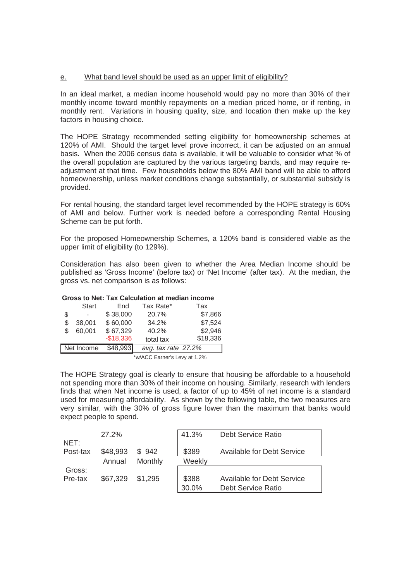### e. What band level should be used as an upper limit of eligibility?

In an ideal market, a median income household would pay no more than 30% of their monthly income toward monthly repayments on a median priced home, or if renting, in monthly rent. Variations in housing quality, size, and location then make up the key factors in housing choice.

The HOPE Strategy recommended setting eligibility for homeownership schemes at 120% of AMI. Should the target level prove incorrect, it can be adjusted on an annual basis. When the 2006 census data is available, it will be valuable to consider what % of the overall population are captured by the various targeting bands, and may require readjustment at that time. Few households below the 80% AMI band will be able to afford homeownership, unless market conditions change substantially, or substantial subsidy is provided.

For rental housing, the standard target level recommended by the HOPE strategy is 60% of AMI and below. Further work is needed before a corresponding Rental Housing Scheme can be put forth.

For the proposed Homeownership Schemes, a 120% band is considered viable as the upper limit of eligibility (to 129%).

Consideration has also been given to whether the Area Median Income should be published as 'Gross Income' (before tax) or 'Net Income' (after tax). At the median, the gross vs. net comparison is as follows:

### **Gross to Net: Tax Calculation at median income**

|     | <b>Start</b> | End        | Tax Rate*                                             | Tax      |
|-----|--------------|------------|-------------------------------------------------------|----------|
| \$  |              | \$38,000   | 20.7%                                                 | \$7,866  |
| \$  | 38,001       | \$60,000   | 34.2%                                                 | \$7,524  |
| \$. | 60,001       | \$67,329   | 40.2%                                                 | \$2,946  |
|     |              | $-$18,336$ | total tax                                             | \$18,336 |
|     | Net Income   | \$48,993   | avg. tax rate 27.2%                                   |          |
|     |              |            | $\star \ldots \wedge \cap \cap$ Farazonal asset 4.00/ |          |

'w/ACC Earner's Levy at 1.2%

The HOPE Strategy goal is clearly to ensure that housing be affordable to a household not spending more than 30% of their income on housing. Similarly, research with lenders finds that when Net income is used, a factor of up to 45% of net income is a standard used for measuring affordability. As shown by the following table, the two measures are very similar, with the 30% of gross figure lower than the maximum that banks would expect people to spend.

|          | 27.2%    |         | 41.3%  | Debt Service Ratio                |
|----------|----------|---------|--------|-----------------------------------|
| NET:     |          |         |        |                                   |
| Post-tax | \$48,993 | \$942   | \$389  | <b>Available for Debt Service</b> |
|          | Annual   | Monthly | Weekly |                                   |
| Gross:   |          |         |        |                                   |
| Pre-tax  | \$67,329 | \$1,295 | \$388  | Available for Debt Service        |
|          |          |         | 30.0%  | <b>Debt Service Ratio</b>         |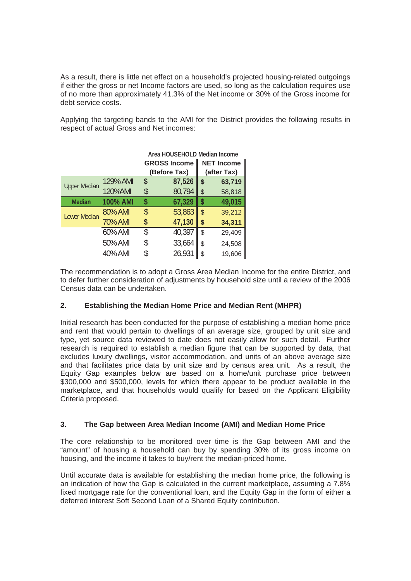As a result, there is little net effect on a household's projected housing-related outgoings if either the gross or net Income factors are used, so long as the calculation requires use of no more than approximately 41.3% of the Net income or 30% of the Gross income for debt service costs.

Applying the targeting bands to the AMI for the District provides the following results in respect of actual Gross and Net incomes:

|                     |                 | Area HOUSEHOLD Median Income |                     |                |                   |  |
|---------------------|-----------------|------------------------------|---------------------|----------------|-------------------|--|
|                     |                 |                              | <b>GROSS Income</b> |                | <b>NET Income</b> |  |
|                     |                 |                              | (Before Tax)        |                | (after Tax)       |  |
| <b>Upper Median</b> | 129% AMI        | \$                           | 87,526              | S              | 63,719            |  |
|                     | 120%AMI         | \$                           | 80,794              | \$             | 58,818            |  |
| <b>Median</b>       | <b>100% AMI</b> | \$                           | 67,329              | \$             | 49,015            |  |
| <b>Lower Median</b> | 80% AMI         | \$                           | 53,863              | $\mathfrak{S}$ | 39,212            |  |
|                     | 70% AMI         | \$                           | 47,130              | \$             | 34,311            |  |
|                     | 60% AMI         | \$                           | 40,397              | \$             | 29,409            |  |
|                     | 50% AMI         | \$                           | 33,664              | \$             | 24,508            |  |
|                     | 40% AMI         | \$                           | 26,931              | S              | 19,606            |  |

The recommendation is to adopt a Gross Area Median Income for the entire District, and to defer further consideration of adjustments by household size until a review of the 2006 Census data can be undertaken.

## **2. Establishing the Median Home Price and Median Rent (MHPR)**

Initial research has been conducted for the purpose of establishing a median home price and rent that would pertain to dwellings of an average size, grouped by unit size and type, yet source data reviewed to date does not easily allow for such detail. Further research is required to establish a median figure that can be supported by data, that excludes luxury dwellings, visitor accommodation, and units of an above average size and that facilitates price data by unit size and by census area unit. As a result, the Equity Gap examples below are based on a home/unit purchase price between \$300,000 and \$500,000, levels for which there appear to be product available in the marketplace, and that households would qualify for based on the Applicant Eligibility Criteria proposed.

## **3. The Gap between Area Median Income (AMI) and Median Home Price**

The core relationship to be monitored over time is the Gap between AMI and the "amount" of housing a household can buy by spending 30% of its gross income on housing, and the income it takes to buy/rent the median-priced home.

Until accurate data is available for establishing the median home price, the following is an indication of how the Gap is calculated in the current marketplace, assuming a 7.8% fixed mortgage rate for the conventional loan, and the Equity Gap in the form of either a deferred interest Soft Second Loan of a Shared Equity contribution.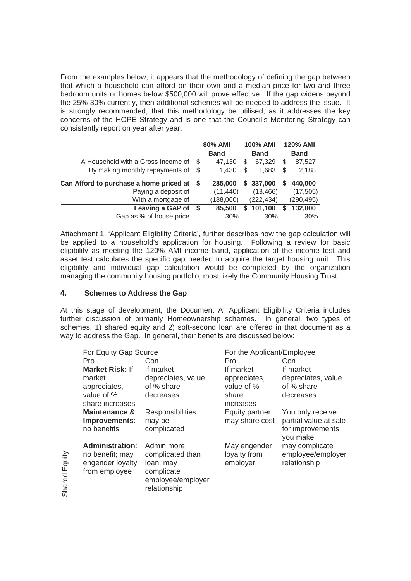From the examples below, it appears that the methodology of defining the gap between that which a household can afford on their own and a median price for two and three bedroom units or homes below \$500,000 will prove effective. If the gap widens beyond the 25%-30% currently, then additional schemes will be needed to address the issue. It is strongly recommended, that this methodology be utilised, as it addresses the key concerns of the HOPE Strategy and is one that the Council's Monitoring Strategy can consistently report on year after year.

|                                         | 80% AMI |             | <b>100% AMI</b> |             |   | <b>120% AMI</b> |
|-----------------------------------------|---------|-------------|-----------------|-------------|---|-----------------|
|                                         |         | <b>Band</b> |                 | <b>Band</b> |   | <b>Band</b>     |
| A Household with a Gross Income of      | S       | 47,130      | S               | 67,329      | S | 87,527          |
| By making monthly repayments of         | -S      | 1.430       | S               | 1.683       | S | 2,188           |
| Can Afford to purchase a home priced at |         | 285,000     |                 | \$337.000   | S | 440,000         |
| Paying a deposit of                     |         | (11, 440)   |                 | (13, 466)   |   | (17, 505)       |
| With a mortgage of                      |         | (188,060)   |                 | (222, 434)  |   | (290, 495)      |
| Leaving a GAP of                        | - \$    | 85,500      | S.              | 101,100     | S | 132,000         |
| Gap as % of house price                 |         | 30%         |                 | 30%         |   | 30%             |

Attachment 1, 'Applicant Eligibility Criteria', further describes how the gap calculation will be applied to a household's application for housing. Following a review for basic eligibility as meeting the 120% AMI income band, application of the income test and asset test calculates the specific gap needed to acquire the target housing unit. This eligibility and individual gap calculation would be completed by the organization managing the community housing portfolio, most likely the Community Housing Trust.

#### **4. Schemes to Address the Gap**

At this stage of development, the Document A: Applicant Eligibility Criteria includes further discussion of primarily Homeownership schemes. In general, two types of schemes, 1) shared equity and 2) soft-second loan are offered in that document as a way to address the Gap. In general, their benefits are discussed below:

|               | For Equity Gap Source    |                    | For the Applicant/Employee |                       |
|---------------|--------------------------|--------------------|----------------------------|-----------------------|
|               | Pro                      | Con                | <b>Pro</b>                 | Con                   |
|               | <b>Market Risk: If</b>   | If market          | If market                  | If market             |
|               | market                   | depreciates, value | appreciates,               | depreciates, value    |
|               | appreciates,             | of % share         | value of %                 | of % share            |
|               | value of %               | decreases          | share                      | decreases             |
|               | share increases          |                    | increases                  |                       |
|               | <b>Maintenance &amp;</b> | Responsibilities   | Equity partner             | You only receive      |
|               | Improvements:            | may be             | may share cost             | partial value at sale |
|               | no benefits              | complicated        |                            | for improvements      |
|               |                          |                    |                            | you make              |
|               | <b>Administration:</b>   | Admin more         | May engender               | may complicate        |
|               | no benefit; may          | complicated than   | loyalty from               | employee/employer     |
|               | engender loyalty         | loan; may          | employer                   | relationship          |
|               | from employee            | complicate         |                            |                       |
|               |                          | employee/employer  |                            |                       |
| Shared Equity |                          | relationship       |                            |                       |
|               |                          |                    |                            |                       |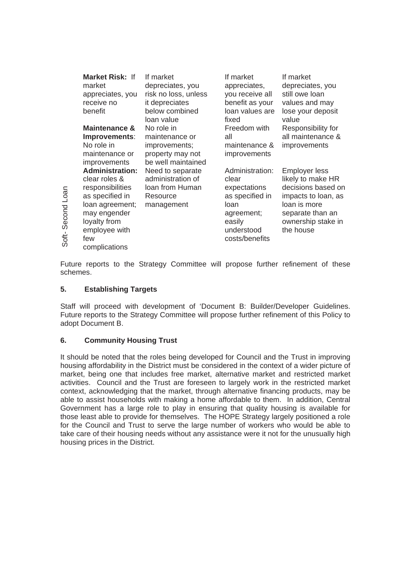|                      | <b>Market Risk: If</b><br>market<br>appreciates, you<br>receive no<br>benefit                                                                                              | If market<br>depreciates, you<br>risk no loss, unless<br>it depreciates<br>below combined<br>loan value | If market<br>appreciates,<br>you receive all<br>benefit as your<br>loan values are<br>fixed                                 | If market<br>depreciates, you<br>still owe loan<br>values and may<br>lose your deposit<br>value                                                               |
|----------------------|----------------------------------------------------------------------------------------------------------------------------------------------------------------------------|---------------------------------------------------------------------------------------------------------|-----------------------------------------------------------------------------------------------------------------------------|---------------------------------------------------------------------------------------------------------------------------------------------------------------|
|                      | <b>Maintenance &amp;</b><br>Improvements:<br>No role in<br>maintenance or<br><i>improvements</i>                                                                           | No role in<br>maintenance or<br>improvements;<br>property may not<br>be well maintained                 | Freedom with<br>all<br>maintenance &<br><i>improvements</i>                                                                 | Responsibility for<br>all maintenance &<br>improvements                                                                                                       |
| Second Loan<br>Soft- | <b>Administration:</b><br>clear roles &<br>responsibilities<br>as specified in<br>loan agreement;<br>may engender<br>loyalty from<br>employee with<br>few<br>complications | Need to separate<br>administration of<br>loan from Human<br>Resource<br>management                      | Administration:<br>clear<br>expectations<br>as specified in<br>loan<br>agreement;<br>easily<br>understood<br>costs/benefits | <b>Employer less</b><br>likely to make HR<br>decisions based on<br>impacts to loan, as<br>loan is more<br>separate than an<br>ownership stake in<br>the house |

Future reports to the Strategy Committee will propose further refinement of these schemes.

#### **5. Establishing Targets**

Staff will proceed with development of 'Document B: Builder/Developer Guidelines. Future reports to the Strategy Committee will propose further refinement of this Policy to adopt Document B.

## **6. Community Housing Trust**

It should be noted that the roles being developed for Council and the Trust in improving housing affordability in the District must be considered in the context of a wider picture of market, being one that includes free market, alternative market and restricted market activities. Council and the Trust are foreseen to largely work in the restricted market context, acknowledging that the market, through alternative financing products, may be able to assist households with making a home affordable to them. In addition, Central Government has a large role to play in ensuring that quality housing is available for those least able to provide for themselves. The HOPE Strategy largely positioned a role for the Council and Trust to serve the large number of workers who would be able to take care of their housing needs without any assistance were it not for the unusually high housing prices in the District.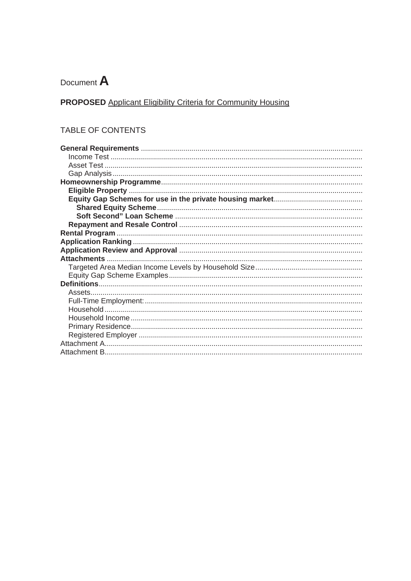# Document A

# **PROPOSED** Applicant Eligibility Criteria for Community Housing

## TABLE OF CONTENTS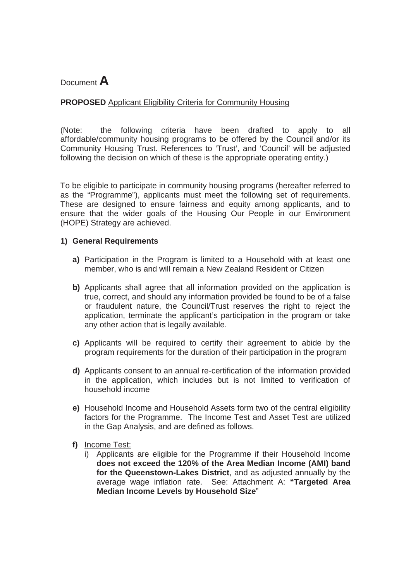Document **A**

## **PROPOSED** Applicant Eligibility Criteria for Community Housing

(Note: the following criteria have been drafted to apply to all affordable/community housing programs to be offered by the Council and/or its Community Housing Trust. References to 'Trust', and 'Council' will be adjusted following the decision on which of these is the appropriate operating entity.)

To be eligible to participate in community housing programs (hereafter referred to as the "Programme"), applicants must meet the following set of requirements. These are designed to ensure fairness and equity among applicants, and to ensure that the wider goals of the Housing Our People in our Environment (HOPE) Strategy are achieved.

## **1) General Requirements**

- **a)** Participation in the Program is limited to a Household with at least one member, who is and will remain a New Zealand Resident or Citizen
- **b)** Applicants shall agree that all information provided on the application is true, correct, and should any information provided be found to be of a false or fraudulent nature, the Council/Trust reserves the right to reject the application, terminate the applicant's participation in the program or take any other action that is legally available.
- **c)** Applicants will be required to certify their agreement to abide by the program requirements for the duration of their participation in the program
- **d)** Applicants consent to an annual re-certification of the information provided in the application, which includes but is not limited to verification of household income
- **e)** Household Income and Household Assets form two of the central eligibility factors for the Programme. The Income Test and Asset Test are utilized in the Gap Analysis, and are defined as follows.
- **f)** Income Test:
	- i) Applicants are eligible for the Programme if their Household Income **does not exceed the 120% of the Area Median Income (AMI) band for the Queenstown-Lakes District**, and as adjusted annually by the average wage inflation rate. See: Attachment A: **"Targeted Area Median Income Levels by Household Size**"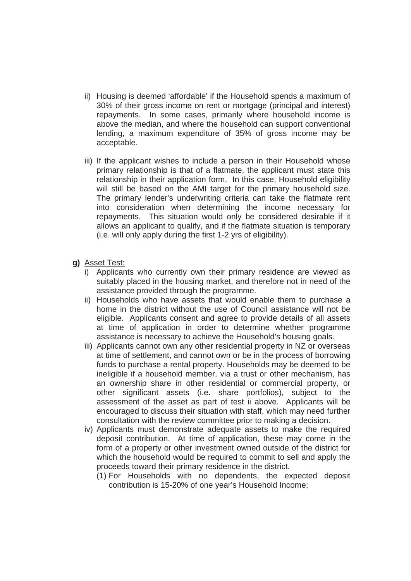- ii) Housing is deemed 'affordable' if the Household spends a maximum of 30% of their gross income on rent or mortgage (principal and interest) repayments. In some cases, primarily where household income is above the median, and where the household can support conventional lending, a maximum expenditure of 35% of gross income may be acceptable.
- iii) If the applicant wishes to include a person in their Household whose primary relationship is that of a flatmate, the applicant must state this relationship in their application form. In this case, Household eligibility will still be based on the AMI target for the primary household size. The primary lender's underwriting criteria can take the flatmate rent into consideration when determining the income necessary for repayments. This situation would only be considered desirable if it allows an applicant to qualify, and if the flatmate situation is temporary (i.e. will only apply during the first 1-2 yrs of eligibility).
- **g)** Asset Test:
	- i) Applicants who currently own their primary residence are viewed as suitably placed in the housing market, and therefore not in need of the assistance provided through the programme.
	- ii) Households who have assets that would enable them to purchase a home in the district without the use of Council assistance will not be eligible. Applicants consent and agree to provide details of all assets at time of application in order to determine whether programme assistance is necessary to achieve the Household's housing goals.
	- iii) Applicants cannot own any other residential property in NZ or overseas at time of settlement, and cannot own or be in the process of borrowing funds to purchase a rental property. Households may be deemed to be ineligible if a household member, via a trust or other mechanism, has an ownership share in other residential or commercial property, or other significant assets (i.e. share portfolios), subject to the assessment of the asset as part of test ii above. Applicants will be encouraged to discuss their situation with staff, which may need further consultation with the review committee prior to making a decision.
	- iv) Applicants must demonstrate adequate assets to make the required deposit contribution. At time of application, these may come in the form of a property or other investment owned outside of the district for which the household would be required to commit to sell and apply the proceeds toward their primary residence in the district.
		- (1) For Households with no dependents, the expected deposit contribution is 15-20% of one year's Household Income;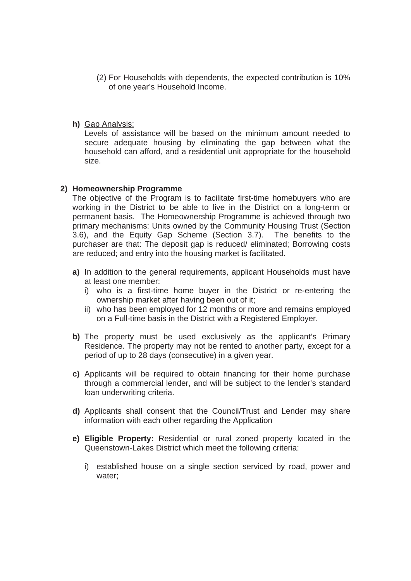- (2) For Households with dependents, the expected contribution is 10% of one year's Household Income.
- **h)** Gap Analysis:

Levels of assistance will be based on the minimum amount needed to secure adequate housing by eliminating the gap between what the household can afford, and a residential unit appropriate for the household size.

## **2) Homeownership Programme**

The objective of the Program is to facilitate first-time homebuyers who are working in the District to be able to live in the District on a long-term or permanent basis. The Homeownership Programme is achieved through two primary mechanisms: Units owned by the Community Housing Trust (Section 3.6), and the Equity Gap Scheme (Section 3.7). The benefits to the purchaser are that: The deposit gap is reduced/ eliminated; Borrowing costs are reduced; and entry into the housing market is facilitated.

- **a)** In addition to the general requirements, applicant Households must have at least one member:
	- i) who is a first-time home buyer in the District or re-entering the ownership market after having been out of it;
	- ii) who has been employed for 12 months or more and remains employed on a Full-time basis in the District with a Registered Employer.
- **b)** The property must be used exclusively as the applicant's Primary Residence. The property may not be rented to another party, except for a period of up to 28 days (consecutive) in a given year.
- **c)** Applicants will be required to obtain financing for their home purchase through a commercial lender, and will be subject to the lender's standard loan underwriting criteria.
- **d)** Applicants shall consent that the Council/Trust and Lender may share information with each other regarding the Application
- **e) Eligible Property:** Residential or rural zoned property located in the Queenstown-Lakes District which meet the following criteria:
	- i) established house on a single section serviced by road, power and water;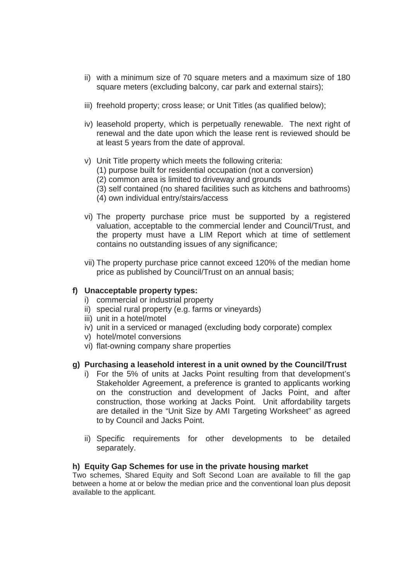- ii) with a minimum size of 70 square meters and a maximum size of 180 square meters (excluding balcony, car park and external stairs);
- iii) freehold property; cross lease; or Unit Titles (as qualified below);
- iv) leasehold property, which is perpetually renewable. The next right of renewal and the date upon which the lease rent is reviewed should be at least 5 years from the date of approval.
- v) Unit Title property which meets the following criteria:
	- (1) purpose built for residential occupation (not a conversion)
	- (2) common area is limited to driveway and grounds
	- (3) self contained (no shared facilities such as kitchens and bathrooms)
	- (4) own individual entry/stairs/access
- vi) The property purchase price must be supported by a registered valuation, acceptable to the commercial lender and Council/Trust, and the property must have a LIM Report which at time of settlement contains no outstanding issues of any significance;
- vii) The property purchase price cannot exceed 120% of the median home price as published by Council/Trust on an annual basis;

## **f) Unacceptable property types:**

- i) commercial or industrial property
- ii) special rural property (e.g. farms or vineyards)
- iii) unit in a hotel/motel
- iv) unit in a serviced or managed (excluding body corporate) complex
- v) hotel/motel conversions
- vi) flat-owning company share properties

#### **g) Purchasing a leasehold interest in a unit owned by the Council/Trust**

- i) For the 5% of units at Jacks Point resulting from that development's Stakeholder Agreement, a preference is granted to applicants working on the construction and development of Jacks Point, and after construction, those working at Jacks Point. Unit affordability targets are detailed in the "Unit Size by AMI Targeting Worksheet" as agreed to by Council and Jacks Point.
- ii) Specific requirements for other developments to be detailed separately.

## **h) Equity Gap Schemes for use in the private housing market**

Two schemes, Shared Equity and Soft Second Loan are available to fill the gap between a home at or below the median price and the conventional loan plus deposit available to the applicant.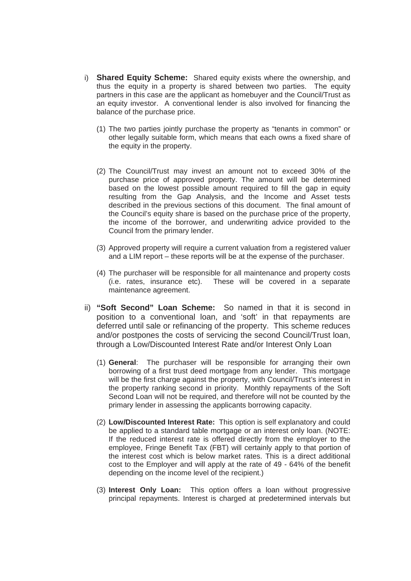- i) **Shared Equity Scheme:** Shared equity exists where the ownership, and thus the equity in a property is shared between two parties. The equity partners in this case are the applicant as homebuyer and the Council/Trust as an equity investor. A conventional lender is also involved for financing the balance of the purchase price.
	- (1) The two parties jointly purchase the property as "tenants in common" or other legally suitable form, which means that each owns a fixed share of the equity in the property.
	- (2) The Council/Trust may invest an amount not to exceed 30% of the purchase price of approved property. The amount will be determined based on the lowest possible amount required to fill the gap in equity resulting from the Gap Analysis, and the Income and Asset tests described in the previous sections of this document. The final amount of the Council's equity share is based on the purchase price of the property, the income of the borrower, and underwriting advice provided to the Council from the primary lender.
	- (3) Approved property will require a current valuation from a registered valuer and a LIM report – these reports will be at the expense of the purchaser.
	- (4) The purchaser will be responsible for all maintenance and property costs (i.e. rates, insurance etc). These will be covered in a separate maintenance agreement.
- ii) **"Soft Second" Loan Scheme:** So named in that it is second in position to a conventional loan, and 'soft' in that repayments are deferred until sale or refinancing of the property. This scheme reduces and/or postpones the costs of servicing the second Council/Trust loan, through a Low/Discounted Interest Rate and/or Interest Only Loan
	- (1) **General**: The purchaser will be responsible for arranging their own borrowing of a first trust deed mortgage from any lender. This mortgage will be the first charge against the property, with Council/Trust's interest in the property ranking second in priority. Monthly repayments of the Soft Second Loan will not be required, and therefore will not be counted by the primary lender in assessing the applicants borrowing capacity.
	- (2) **Low/Discounted Interest Rate:** This option is self explanatory and could be applied to a standard table mortgage or an interest only loan. (NOTE: If the reduced interest rate is offered directly from the employer to the employee, Fringe Benefit Tax (FBT) will certainly apply to that portion of the interest cost which is below market rates. This is a direct additional cost to the Employer and will apply at the rate of 49 - 64% of the benefit depending on the income level of the recipient.)
	- (3) **Interest Only Loan:** This option offers a loan without progressive principal repayments. Interest is charged at predetermined intervals but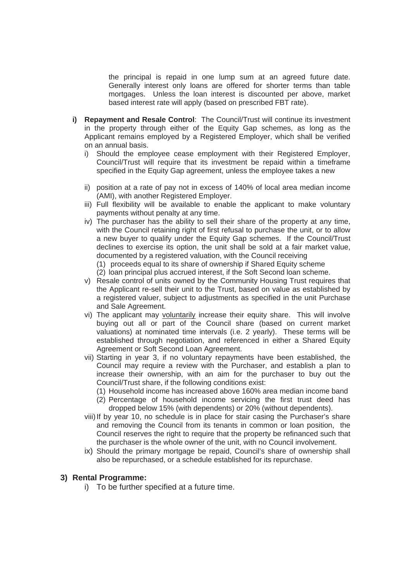the principal is repaid in one lump sum at an agreed future date. Generally interest only loans are offered for shorter terms than table mortgages. Unless the loan interest is discounted per above, market based interest rate will apply (based on prescribed FBT rate).

- **i) Repayment and Resale Control:** The Council/Trust will continue its investment in the property through either of the Equity Gap schemes, as long as the Applicant remains employed by a Registered Employer, which shall be verified on an annual basis.
	- i) Should the employee cease employment with their Registered Employer, Council/Trust will require that its investment be repaid within a timeframe specified in the Equity Gap agreement, unless the employee takes a new
	- ii) position at a rate of pay not in excess of 140% of local area median income (AMI), with another Registered Employer.
	- iii) Full flexibility will be available to enable the applicant to make voluntary payments without penalty at any time.
	- iv) The purchaser has the ability to sell their share of the property at any time, with the Council retaining right of first refusal to purchase the unit, or to allow a new buyer to qualify under the Equity Gap schemes. If the Council/Trust declines to exercise its option, the unit shall be sold at a fair market value, documented by a registered valuation, with the Council receiving
		- (1) proceeds equal to its share of ownership if Shared Equity scheme
		- (2) loan principal plus accrued interest, if the Soft Second loan scheme.
	- v) Resale control of units owned by the Community Housing Trust requires that the Applicant re-sell their unit to the Trust, based on value as established by a registered valuer, subject to adjustments as specified in the unit Purchase and Sale Agreement.
	- vi) The applicant may voluntarily increase their equity share. This will involve buying out all or part of the Council share (based on current market valuations) at nominated time intervals (i.e. 2 yearly). These terms will be established through negotiation, and referenced in either a Shared Equity Agreement or Soft Second Loan Agreement.
	- vii) Starting in year 3, if no voluntary repayments have been established, the Council may require a review with the Purchaser, and establish a plan to increase their ownership, with an aim for the purchaser to buy out the Council/Trust share, if the following conditions exist:
		- (1) Household income has increased above 160% area median income band
		- (2) Percentage of household income servicing the first trust deed has dropped below 15% (with dependents) or 20% (without dependents).
	- viii) If by year 10, no schedule is in place for stair casing the Purchaser's share and removing the Council from its tenants in common or loan position, the Council reserves the right to require that the property be refinanced such that the purchaser is the whole owner of the unit, with no Council involvement.
	- ix) Should the primary mortgage be repaid, Council's share of ownership shall also be repurchased, or a schedule established for its repurchase.

## **3) Rental Programme:**

i) To be further specified at a future time.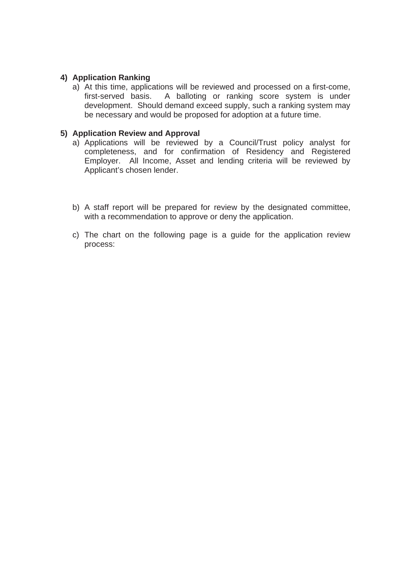## **4) Application Ranking**

a) At this time, applications will be reviewed and processed on a first-come, first-served basis. A balloting or ranking score system is under development. Should demand exceed supply, such a ranking system may be necessary and would be proposed for adoption at a future time.

## **5) Application Review and Approval**

- a) Applications will be reviewed by a Council/Trust policy analyst for completeness, and for confirmation of Residency and Registered Employer. All Income, Asset and lending criteria will be reviewed by Applicant's chosen lender.
- b) A staff report will be prepared for review by the designated committee, with a recommendation to approve or deny the application.
- c) The chart on the following page is a guide for the application review process: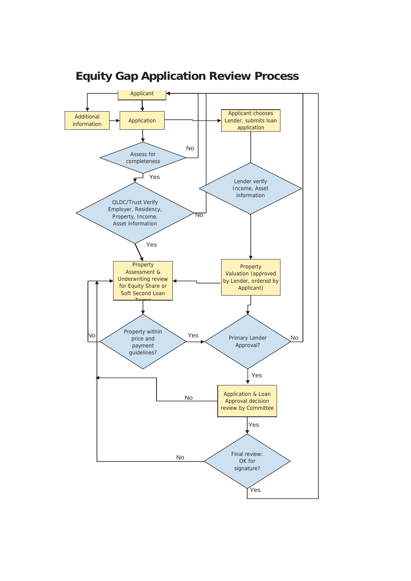

# **Equity Gap Application Review Process**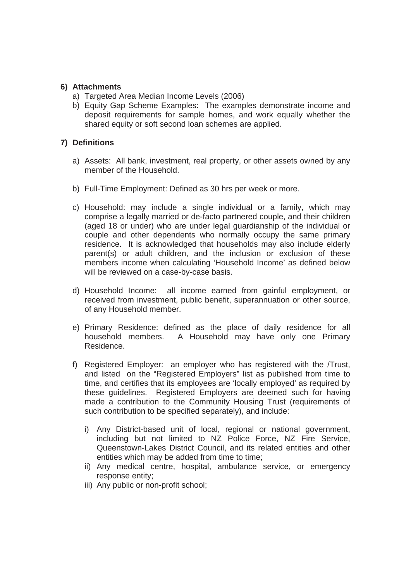## **6) Attachments**

- a) Targeted Area Median Income Levels (2006)
- b) Equity Gap Scheme Examples: The examples demonstrate income and deposit requirements for sample homes, and work equally whether the shared equity or soft second loan schemes are applied.

## **7) Definitions**

- a) Assets: All bank, investment, real property, or other assets owned by any member of the Household.
- b) Full-Time Employment: Defined as 30 hrs per week or more.
- c) Household: may include a single individual or a family, which may comprise a legally married or de-facto partnered couple, and their children (aged 18 or under) who are under legal guardianship of the individual or couple and other dependents who normally occupy the same primary residence. It is acknowledged that households may also include elderly parent(s) or adult children, and the inclusion or exclusion of these members income when calculating 'Household Income' as defined below will be reviewed on a case-by-case basis.
- d) Household Income: all income earned from gainful employment, or received from investment, public benefit, superannuation or other source, of any Household member.
- e) Primary Residence: defined as the place of daily residence for all household members. A Household may have only one Primary Residence.
- f) Registered Employer: an employer who has registered with the /Trust, and listed on the "Registered Employers" list as published from time to time, and certifies that its employees are 'locally employed' as required by these guidelines. Registered Employers are deemed such for having made a contribution to the Community Housing Trust (requirements of such contribution to be specified separately), and include:
	- i) Any District-based unit of local, regional or national government, including but not limited to NZ Police Force, NZ Fire Service, Queenstown-Lakes District Council, and its related entities and other entities which may be added from time to time;
	- ii) Any medical centre, hospital, ambulance service, or emergency response entity;
	- iii) Any public or non-profit school;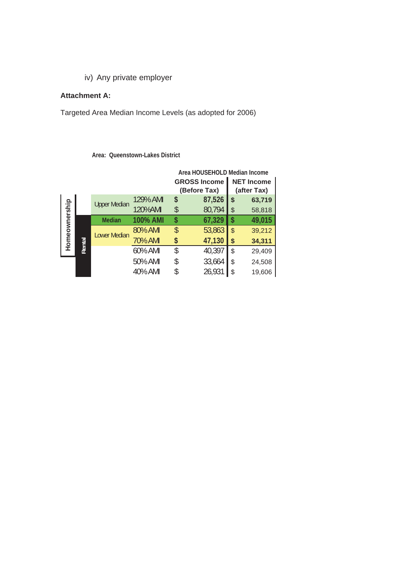iv) Any private employer

## **Attachment A:**

Targeted Area Median Income Levels (as adopted for 2006)

|               |        |                     |                 | Area HOUSEHOLD Median Income |                     |    |                   |  |
|---------------|--------|---------------------|-----------------|------------------------------|---------------------|----|-------------------|--|
|               |        |                     |                 |                              | <b>GROSS Income</b> |    | <b>NET Income</b> |  |
|               |        |                     |                 |                              | (Before Tax)        |    | (after Tax)       |  |
|               |        | <b>Upper Median</b> | 129% AMI        | \$                           | 87,526              | S  | 63,719            |  |
| Homeownership |        |                     | 120%AMI         | \$                           | 80,794              | \$ | 58,818            |  |
|               |        | <b>Median</b>       | <b>100% AMI</b> | \$                           | 67,329              | \$ | 49,015            |  |
|               |        | <b>Lower Median</b> | 80% AMI         | \$                           | 53,863              | \$ | 39,212            |  |
|               | Rental |                     | 70% AMI         | \$                           | 47,130              | \$ | 34,311            |  |
|               |        |                     | 60% AMI         | \$                           | 40,397              | \$ | 29,409            |  |
|               |        |                     | 50% AMI         | \$                           | 33,664              | \$ | 24,508            |  |
|               |        |                     | 40% AMI         |                              | 26,931              | \$ | 19,606            |  |

**Area: Queenstown-Lakes District**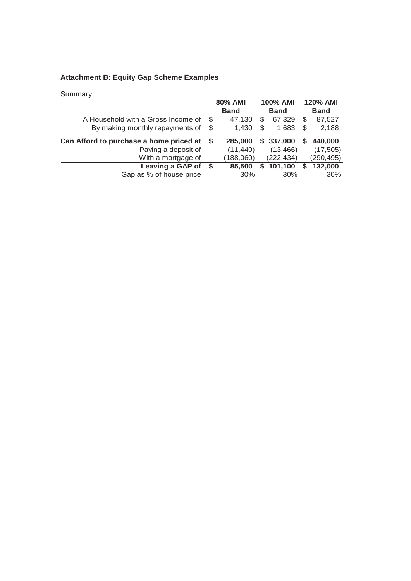## **Attachment B: Equity Gap Scheme Examples**

## Summary

|                                         | 80% AMI<br><b>Band</b> |           | <b>100% AMI</b><br><b>Band</b> |            | <b>120% AMI</b><br><b>Band</b> |            |
|-----------------------------------------|------------------------|-----------|--------------------------------|------------|--------------------------------|------------|
|                                         |                        |           |                                |            |                                |            |
| A Household with a Gross Income of      | S.                     | 47.130    | S                              | 67.329     | S                              | 87,527     |
| By making monthly repayments of         | \$                     | 1.430     | \$.                            | 1.683      | S                              | 2,188      |
| Can Afford to purchase a home priced at | S                      | 285,000   |                                | \$337,000  | S                              | 440,000    |
| Paying a deposit of                     |                        | (11, 440) |                                | (13, 466)  |                                | (17, 505)  |
| With a mortgage of                      |                        | (188,060) |                                | (222, 434) |                                | (290, 495) |
| Leaving a GAP of                        | - \$                   | 85,500    | S.                             | 101,100    | S.                             | 132,000    |
| Gap as % of house price                 |                        | 30%       |                                | 30%        |                                | 30%        |